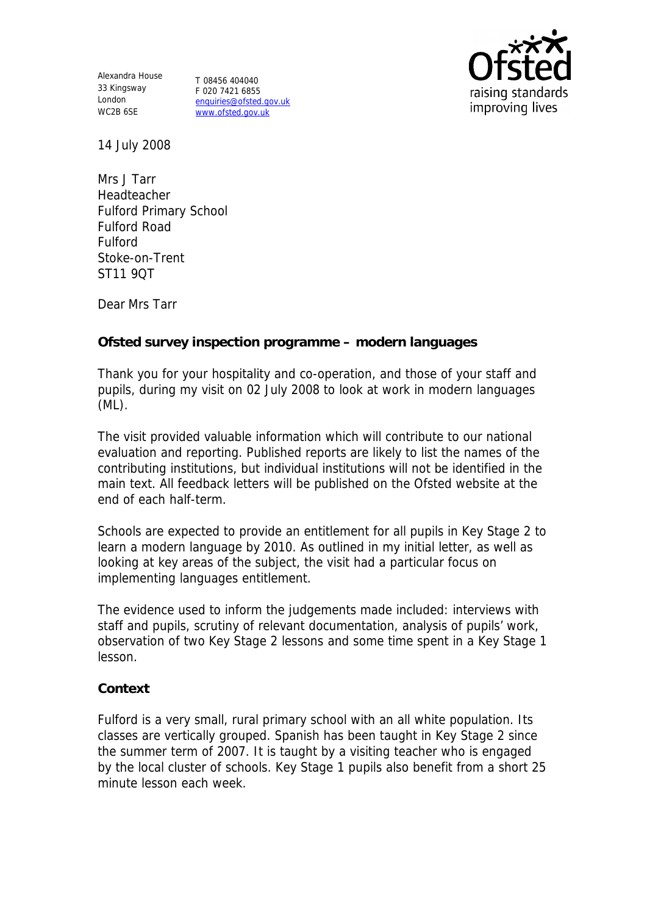Alexandra House 33 Kingsway T 08456 404040 London WC2B 6SE

F 020 7421 6855 enquiries@ofsted.gov.uk www.ofsted.gov.uk



14 July 2008

Mrs J Tarr Headteacher Fulford Primary School Fulford Road Fulford Stoke-on-Trent ST11 9QT

Dear Mrs Tarr

**Ofsted survey inspection programme – modern languages**

Thank you for your hospitality and co-operation, and those of your staff and pupils, during my visit on 02 July 2008 to look at work in modern languages (ML).

The visit provided valuable information which will contribute to our national evaluation and reporting. Published reports are likely to list the names of the contributing institutions, but individual institutions will not be identified in the main text. All feedback letters will be published on the Ofsted website at the end of each half-term.

Schools are expected to provide an entitlement for all pupils in Key Stage 2 to learn a modern language by 2010. As outlined in my initial letter, as well as looking at key areas of the subject, the visit had a particular focus on implementing languages entitlement.

The evidence used to inform the judgements made included: interviews with staff and pupils, scrutiny of relevant documentation, analysis of pupils' work, observation of two Key Stage 2 lessons and some time spent in a Key Stage 1 lesson.

## **Context**

Fulford is a very small, rural primary school with an all white population. Its classes are vertically grouped. Spanish has been taught in Key Stage 2 since the summer term of 2007. It is taught by a visiting teacher who is engaged by the local cluster of schools. Key Stage 1 pupils also benefit from a short 25 minute lesson each week.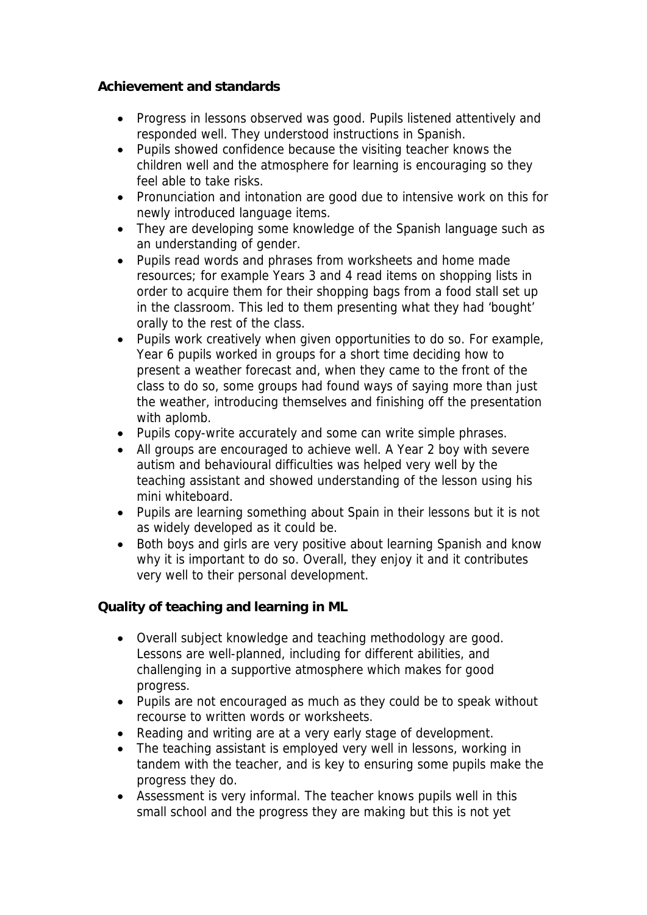## **Achievement and standards**

- Progress in lessons observed was good. Pupils listened attentively and responded well. They understood instructions in Spanish.
- Pupils showed confidence because the visiting teacher knows the children well and the atmosphere for learning is encouraging so they feel able to take risks.
- Pronunciation and intonation are good due to intensive work on this for newly introduced language items.
- They are developing some knowledge of the Spanish language such as an understanding of gender.
- Pupils read words and phrases from worksheets and home made resources; for example Years 3 and 4 read items on shopping lists in order to acquire them for their shopping bags from a food stall set up in the classroom. This led to them presenting what they had 'bought' orally to the rest of the class.
- Pupils work creatively when given opportunities to do so. For example, Year 6 pupils worked in groups for a short time deciding how to present a weather forecast and, when they came to the front of the class to do so, some groups had found ways of saying more than just the weather, introducing themselves and finishing off the presentation with aplomb.
- Pupils copy-write accurately and some can write simple phrases.
- All groups are encouraged to achieve well. A Year 2 boy with severe autism and behavioural difficulties was helped very well by the teaching assistant and showed understanding of the lesson using his mini whiteboard.
- Pupils are learning something about Spain in their lessons but it is not as widely developed as it could be.
- Both boys and girls are very positive about learning Spanish and know why it is important to do so. Overall, they enjoy it and it contributes very well to their personal development.

**Quality of teaching and learning in ML**

- Overall subject knowledge and teaching methodology are good. Lessons are well-planned, including for different abilities, and challenging in a supportive atmosphere which makes for good progress.
- Pupils are not encouraged as much as they could be to speak without recourse to written words or worksheets.
- Reading and writing are at a very early stage of development.
- The teaching assistant is employed very well in lessons, working in tandem with the teacher, and is key to ensuring some pupils make the progress they do.
- Assessment is very informal. The teacher knows pupils well in this small school and the progress they are making but this is not yet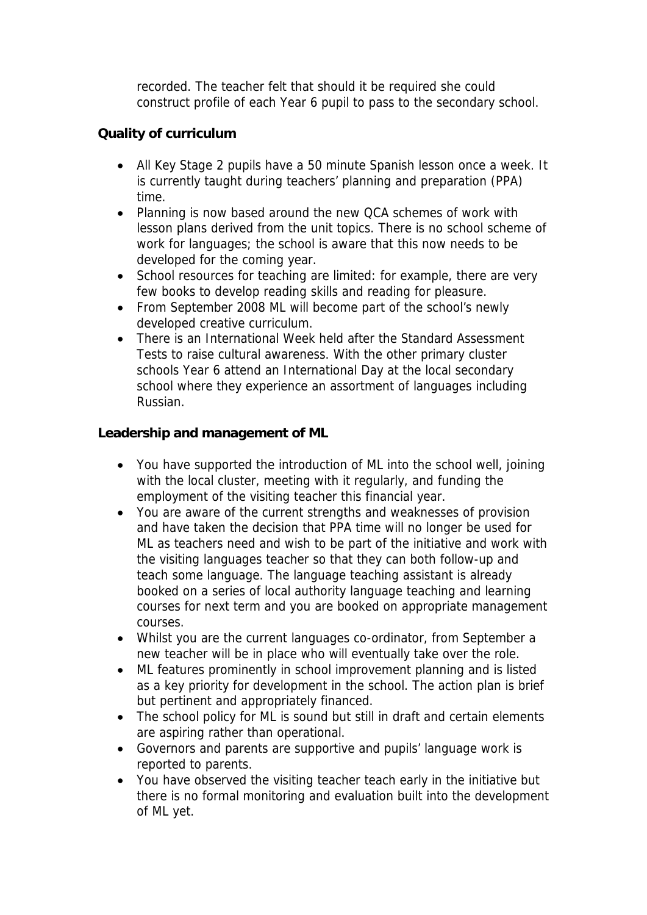recorded. The teacher felt that should it be required she could construct profile of each Year 6 pupil to pass to the secondary school.

## **Quality of curriculum**

- All Key Stage 2 pupils have a 50 minute Spanish lesson once a week. It is currently taught during teachers' planning and preparation (PPA) time.
- Planning is now based around the new QCA schemes of work with lesson plans derived from the unit topics. There is no school scheme of work for languages; the school is aware that this now needs to be developed for the coming year.
- School resources for teaching are limited: for example, there are very few books to develop reading skills and reading for pleasure.
- From September 2008 ML will become part of the school's newly developed creative curriculum.
- There is an International Week held after the Standard Assessment Tests to raise cultural awareness. With the other primary cluster schools Year 6 attend an International Day at the local secondary school where they experience an assortment of languages including Russian.

**Leadership and management of ML**

- You have supported the introduction of ML into the school well, joining with the local cluster, meeting with it regularly, and funding the employment of the visiting teacher this financial year.
- You are aware of the current strengths and weaknesses of provision and have taken the decision that PPA time will no longer be used for ML as teachers need and wish to be part of the initiative and work with the visiting languages teacher so that they can both follow-up and teach some language. The language teaching assistant is already booked on a series of local authority language teaching and learning courses for next term and you are booked on appropriate management courses.
- Whilst you are the current languages co-ordinator, from September a new teacher will be in place who will eventually take over the role.
- ML features prominently in school improvement planning and is listed as a key priority for development in the school. The action plan is brief but pertinent and appropriately financed.
- The school policy for ML is sound but still in draft and certain elements are aspiring rather than operational.
- Governors and parents are supportive and pupils' language work is reported to parents.
- You have observed the visiting teacher teach early in the initiative but there is no formal monitoring and evaluation built into the development of ML yet.